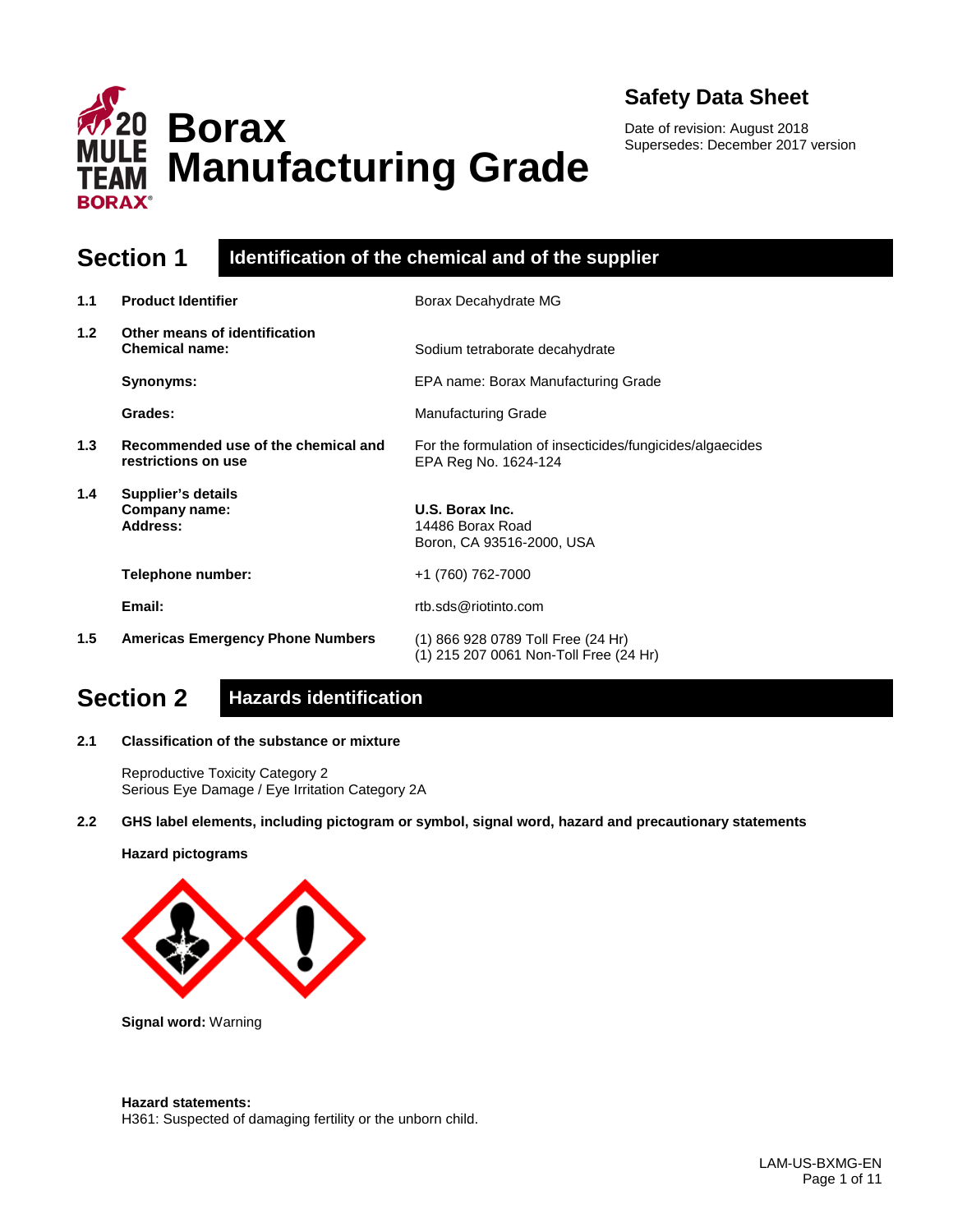

**Borax Manufacturing Grade**

Date of revision: August 2018 Supersedes: December 2017 version

### **Section 1 Identification of the chemical and of the supplier**

| 1.1 | <b>Product Identifier</b>                                  | Borax Decahydrate MG                                                              |
|-----|------------------------------------------------------------|-----------------------------------------------------------------------------------|
| 1.2 | Other means of identification<br><b>Chemical name:</b>     | Sodium tetraborate decahydrate                                                    |
|     | Synonyms:                                                  | EPA name: Borax Manufacturing Grade                                               |
|     | Grades:                                                    | <b>Manufacturing Grade</b>                                                        |
| 1.3 | Recommended use of the chemical and<br>restrictions on use | For the formulation of insecticides/fungicides/algaecides<br>EPA Reg No. 1624-124 |
| 1.4 | <b>Supplier's details</b><br>Company name:<br>Address:     | U.S. Borax Inc.<br>14486 Borax Road<br>Boron, CA 93516-2000, USA                  |
|     | Telephone number:                                          | +1 (760) 762-7000                                                                 |
|     | Email:                                                     | rtb.sds@riotinto.com                                                              |
| 1.5 | <b>Americas Emergency Phone Numbers</b>                    | (1) 866 928 0789 Toll Free (24 Hr)<br>(1) 215 207 0061 Non-Toll Free (24 Hr)      |

## **Section 2 Hazards identification**

**2.1 Classification of the substance or mixture**

Reproductive Toxicity Category 2 Serious Eye Damage / Eye Irritation Category 2A

**2.2 GHS label elements, including pictogram or symbol, signal word, hazard and precautionary statements** 

#### **Hazard pictograms**



**Signal word:** Warning

#### **Hazard statements:**

H361: Suspected of damaging fertility or the unborn child.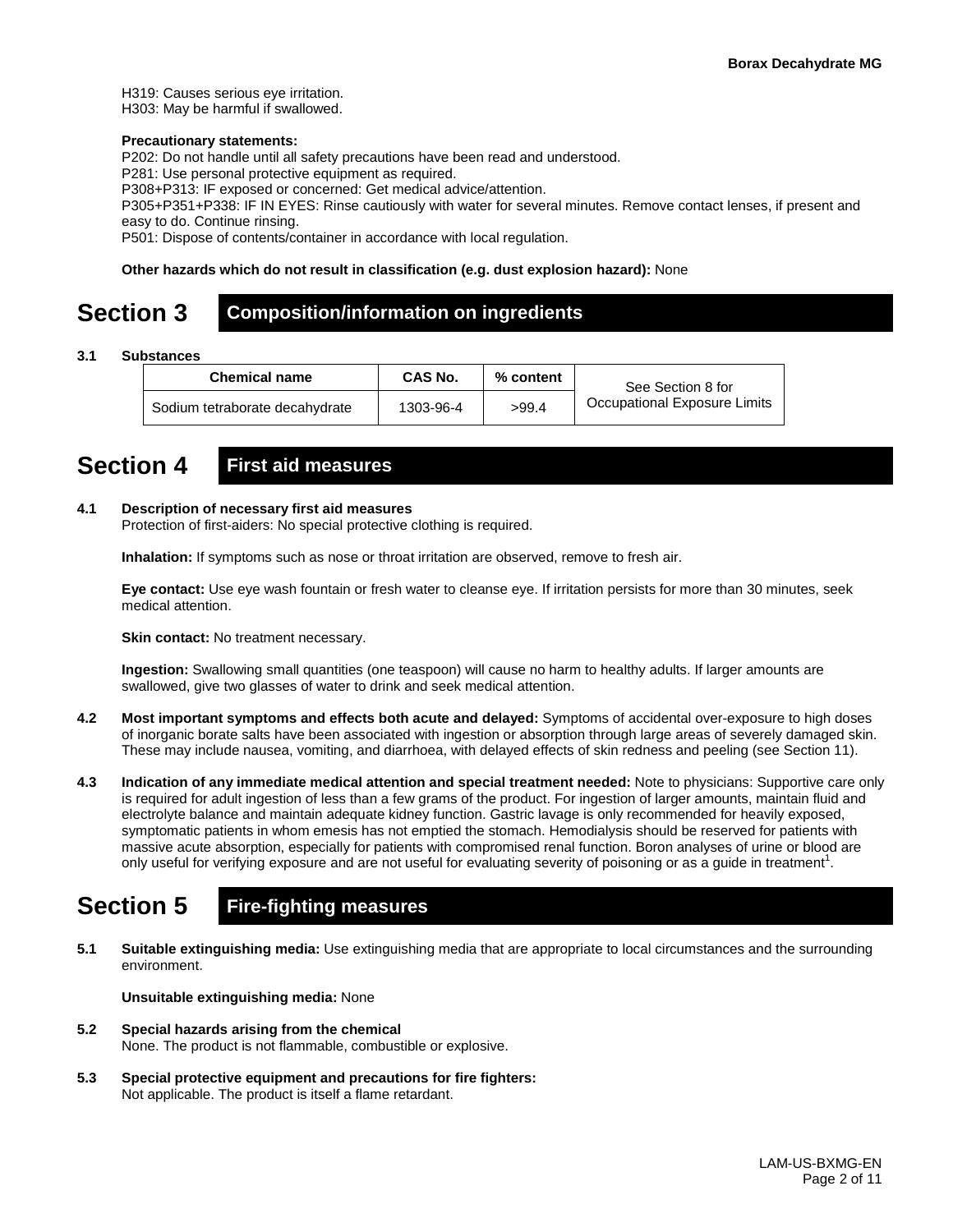H319: Causes serious eye irritation. H303: May be harmful if swallowed.

#### **Precautionary statements:**

P202: Do not handle until all safety precautions have been read and understood.

P281: Use personal protective equipment as required.

P308+P313: IF exposed or concerned: Get medical advice/attention.

P305+P351+P338: IF IN EYES: Rinse cautiously with water for several minutes. Remove contact lenses, if present and easy to do. Continue rinsing.

P501: Dispose of contents/container in accordance with local regulation.

#### **Other hazards which do not result in classification (e.g. dust explosion hazard):** None

### **Section 3 Composition/information on ingredients**

**3.1 Substances**

| <b>Chemical name</b>           | <b>CAS No.</b> | % content | See Section 8 for            |
|--------------------------------|----------------|-----------|------------------------------|
| Sodium tetraborate decahydrate | 1303-96-4      | >99.4     | Occupational Exposure Limits |

### **Section 4 First aid measures**

#### **4.1 Description of necessary first aid measures**

Protection of first-aiders: No special protective clothing is required.

**Inhalation:** If symptoms such as nose or throat irritation are observed, remove to fresh air.

**Eye contact:** Use eye wash fountain or fresh water to cleanse eye. If irritation persists for more than 30 minutes, seek medical attention.

**Skin contact:** No treatment necessary.

**Ingestion:** Swallowing small quantities (one teaspoon) will cause no harm to healthy adults. If larger amounts are swallowed, give two glasses of water to drink and seek medical attention.

- **4.2 Most important symptoms and effects both acute and delayed:** Symptoms of accidental over-exposure to high doses of inorganic borate salts have been associated with ingestion or absorption through large areas of severely damaged skin. These may include nausea, vomiting, and diarrhoea, with delayed effects of skin redness and peeling (see Section 11).
- **4.3 Indication of any immediate medical attention and special treatment needed:** Note to physicians: Supportive care only is required for adult ingestion of less than a few grams of the product. For ingestion of larger amounts, maintain fluid and electrolyte balance and maintain adequate kidney function. Gastric lavage is only recommended for heavily exposed, symptomatic patients in whom emesis has not emptied the stomach. Hemodialysis should be reserved for patients with massive acute absorption, especially for patients with compromised renal function. Boron analyses of urine or blood are only useful for verifying exposure and are not useful for evaluating severity of poisoning or as a guide in treatment<sup>1</sup>.

## **Section 5 Fire-fighting measures**

**5.1 Suitable extinguishing media:** Use extinguishing media that are appropriate to local circumstances and the surrounding environment.

**Unsuitable extinguishing media:** None

- **5.2 Special hazards arising from the chemical** None. The product is not flammable, combustible or explosive.
- **5.3 Special protective equipment and precautions for fire fighters:**  Not applicable. The product is itself a flame retardant.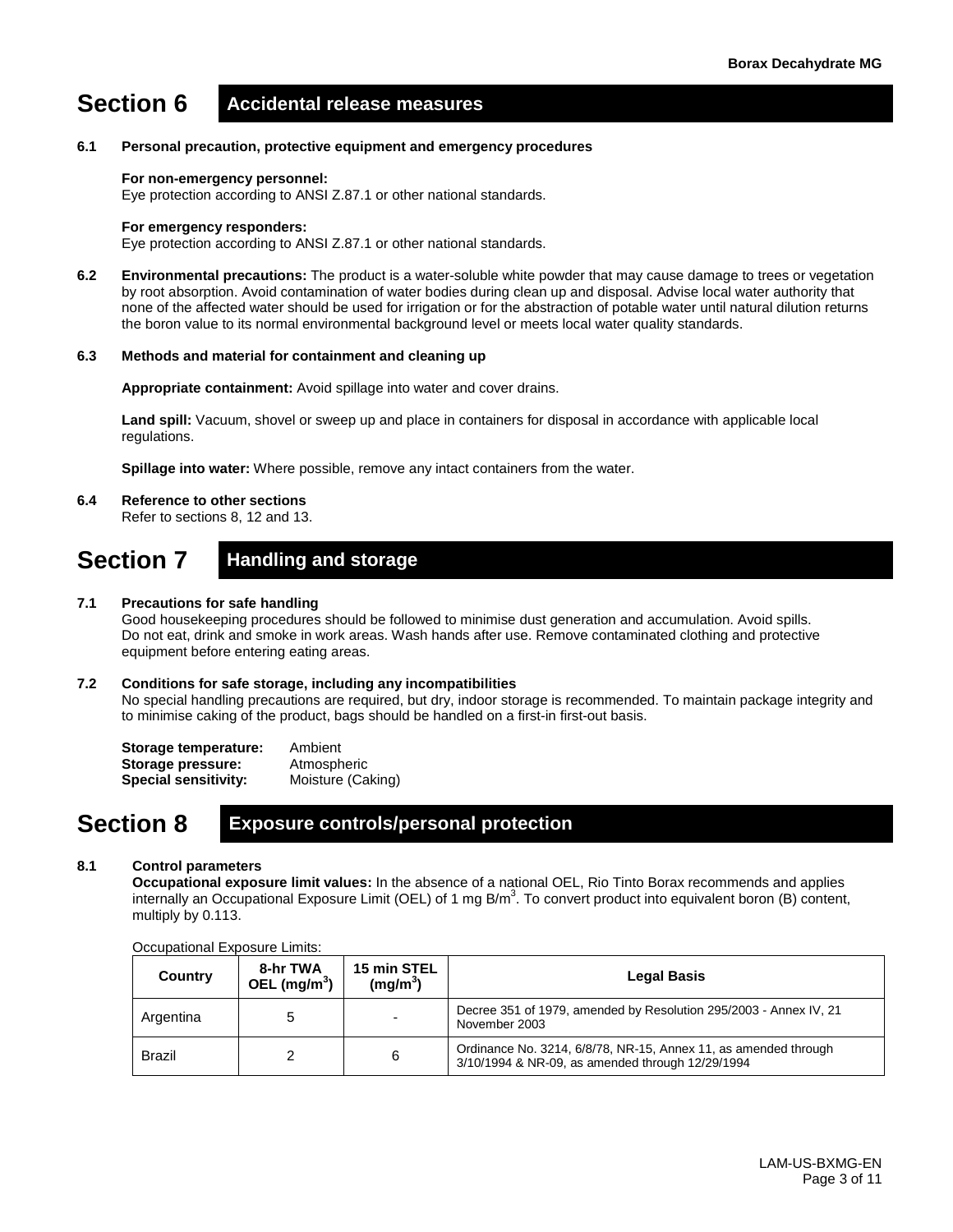# **Section 6 Accidental release measures**

#### **6.1 Personal precaution, protective equipment and emergency procedures**

#### **For non-emergency personnel:**

Eye protection according to ANSI Z.87.1 or other national standards.

#### **For emergency responders:**

Eye protection according to ANSI Z.87.1 or other national standards.

**6.2 Environmental precautions:** The product is a water-soluble white powder that may cause damage to trees or vegetation by root absorption. Avoid contamination of water bodies during clean up and disposal. Advise local water authority that none of the affected water should be used for irrigation or for the abstraction of potable water until natural dilution returns the boron value to its normal environmental background level or meets local water quality standards.

#### **6.3 Methods and material for containment and cleaning up**

**Appropriate containment:** Avoid spillage into water and cover drains.

**Land spill:** Vacuum, shovel or sweep up and place in containers for disposal in accordance with applicable local regulations.

**Spillage into water:** Where possible, remove any intact containers from the water.

#### **6.4 Reference to other sections**

Refer to sections 8, 12 and 13.

### **Section 7 Handling and storage**

#### **7.1 Precautions for safe handling**

Good housekeeping procedures should be followed to minimise dust generation and accumulation. Avoid spills. Do not eat, drink and smoke in work areas. Wash hands after use. Remove contaminated clothing and protective equipment before entering eating areas.

#### **7.2 Conditions for safe storage, including any incompatibilities**

No special handling precautions are required, but dry, indoor storage is recommended. To maintain package integrity and to minimise caking of the product, bags should be handled on a first-in first-out basis.

| Storage temperature:        | Ambient           |
|-----------------------------|-------------------|
| Storage pressure:           | Atmospheric       |
| <b>Special sensitivity:</b> | Moisture (Caking) |

### **Section 8 Exposure controls/personal protection**

#### **8.1 Control parameters**

**Occupational exposure limit values:** In the absence of a national OEL, Rio Tinto Borax recommends and applies internally an Occupational Exposure Limit (OEL) of 1 mg B/m<sup>3</sup>. To convert product into equivalent boron (B) content, multiply by 0.113.

| Country       | 8-hr TWA<br>OEL $(mg/m^3)$ | 15 min STEL<br>(mg/m <sup>3</sup> ) | <b>Legal Basis</b>                                                                                                  |
|---------------|----------------------------|-------------------------------------|---------------------------------------------------------------------------------------------------------------------|
| Argentina     |                            | $\overline{\phantom{0}}$            | Decree 351 of 1979, amended by Resolution 295/2003 - Annex IV, 21<br>November 2003                                  |
| <b>Brazil</b> |                            | 6                                   | Ordinance No. 3214, 6/8/78, NR-15, Annex 11, as amended through<br>3/10/1994 & NR-09, as amended through 12/29/1994 |

#### Occupational Exposure Limits: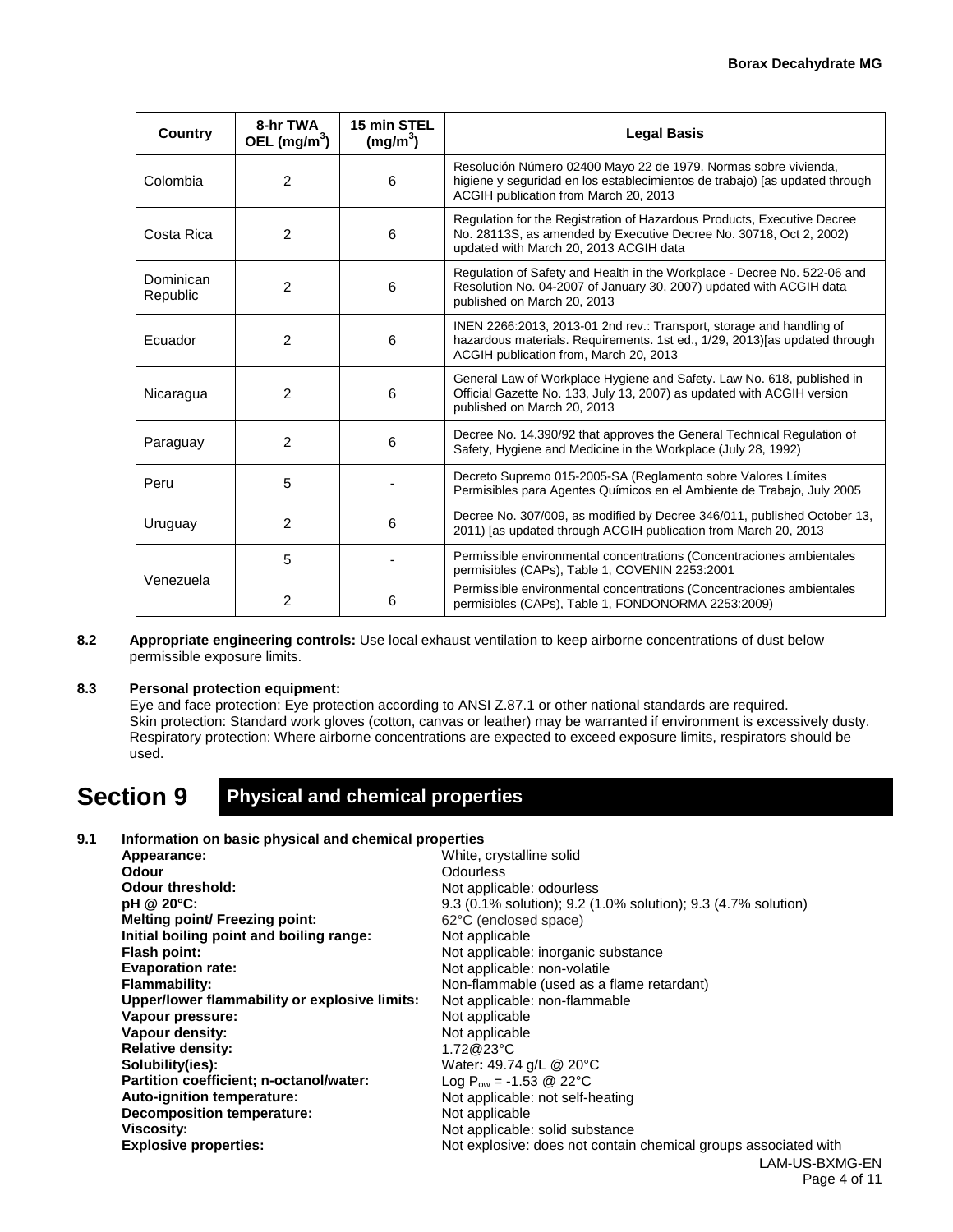| <b>Country</b>        | 8-hr TWA<br>OEL $(mg/m3)$ | 15 min STEL<br>(mg/m <sup>3</sup> )                                                                                                              | <b>Legal Basis</b>                                                                                                                                                                            |  |  |
|-----------------------|---------------------------|--------------------------------------------------------------------------------------------------------------------------------------------------|-----------------------------------------------------------------------------------------------------------------------------------------------------------------------------------------------|--|--|
| Colombia              | 2                         | 6                                                                                                                                                | Resolución Número 02400 Mayo 22 de 1979. Normas sobre vivienda,<br>higiene y seguridad en los establecimientos de trabajo) [as updated through<br>ACGIH publication from March 20, 2013       |  |  |
| Costa Rica            | $\overline{2}$            | 6                                                                                                                                                | Regulation for the Registration of Hazardous Products, Executive Decree<br>No. 28113S, as amended by Executive Decree No. 30718, Oct 2, 2002)<br>updated with March 20, 2013 ACGIH data       |  |  |
| Dominican<br>Republic | 2                         | 6                                                                                                                                                | Regulation of Safety and Health in the Workplace - Decree No. 522-06 and<br>Resolution No. 04-2007 of January 30, 2007) updated with ACGIH data<br>published on March 20, 2013                |  |  |
| Ecuador               | $\overline{2}$            | 6                                                                                                                                                | INEN 2266:2013, 2013-01 2nd rev.: Transport, storage and handling of<br>hazardous materials. Requirements. 1st ed., 1/29, 2013) [as updated through<br>ACGIH publication from, March 20, 2013 |  |  |
| Nicaragua             | $\overline{2}$            | 6                                                                                                                                                | General Law of Workplace Hygiene and Safety. Law No. 618, published in<br>Official Gazette No. 133, July 13, 2007) as updated with ACGIH version<br>published on March 20, 2013               |  |  |
| Paraguay              | $\overline{2}$            | 6                                                                                                                                                | Decree No. 14.390/92 that approves the General Technical Regulation of<br>Safety, Hygiene and Medicine in the Workplace (July 28, 1992)                                                       |  |  |
| Peru                  | 5                         |                                                                                                                                                  | Decreto Supremo 015-2005-SA (Reglamento sobre Valores Límites<br>Permisibles para Agentes Químicos en el Ambiente de Trabajo, July 2005                                                       |  |  |
| Uruguay               | $\overline{2}$            | Decree No. 307/009, as modified by Decree 346/011, published October 13,<br>6<br>2011) [as updated through ACGIH publication from March 20, 2013 |                                                                                                                                                                                               |  |  |
| Venezuela             | 5                         |                                                                                                                                                  | Permissible environmental concentrations (Concentraciones ambientales<br>permisibles (CAPs), Table 1, COVENIN 2253:2001                                                                       |  |  |
|                       | 2                         | 6                                                                                                                                                | Permissible environmental concentrations (Concentraciones ambientales<br>permisibles (CAPs), Table 1, FONDONORMA 2253:2009)                                                                   |  |  |

**8.2 Appropriate engineering controls:** Use local exhaust ventilation to keep airborne concentrations of dust below permissible exposure limits.

#### **8.3 Personal protection equipment:**

Eye and face protection: Eye protection according to ANSI Z.87.1 or other national standards are required. Skin protection: Standard work gloves (cotton, canvas or leather) may be warranted if environment is excessively dusty. Respiratory protection: Where airborne concentrations are expected to exceed exposure limits, respirators should be used.

## **Section 9 Physical and chemical properties**

#### **9.1 Information on basic physical and chemical properties**

| Appearance:                                   | White, crystalline solid                                        |
|-----------------------------------------------|-----------------------------------------------------------------|
| Odour                                         | <b>Odourless</b>                                                |
| <b>Odour threshold:</b>                       | Not applicable: odourless                                       |
| pH @ 20°C:                                    | 9.3 (0.1% solution); 9.2 (1.0% solution); 9.3 (4.7% solution)   |
| <b>Melting point/ Freezing point:</b>         | 62°C (enclosed space)                                           |
| Initial boiling point and boiling range:      | Not applicable                                                  |
| Flash point:                                  | Not applicable: inorganic substance                             |
| <b>Evaporation rate:</b>                      | Not applicable: non-volatile                                    |
| <b>Flammability:</b>                          | Non-flammable (used as a flame retardant)                       |
| Upper/lower flammability or explosive limits: | Not applicable: non-flammable                                   |
| Vapour pressure:                              | Not applicable                                                  |
| Vapour density:                               | Not applicable                                                  |
| <b>Relative density:</b>                      | 1.72@23°C                                                       |
| Solubility(ies):                              | Water: 49.74 g/L @ 20°C                                         |
| Partition coefficient; n-octanol/water:       | Log $P_{ow} = -1.53$ @ 22°C                                     |
| Auto-ignition temperature:                    | Not applicable: not self-heating                                |
| <b>Decomposition temperature:</b>             | Not applicable                                                  |
| <b>Viscosity:</b>                             | Not applicable: solid substance                                 |
| <b>Explosive properties:</b>                  | Not explosive: does not contain chemical groups associated with |
|                                               | LAM-US-BXMG-EN                                                  |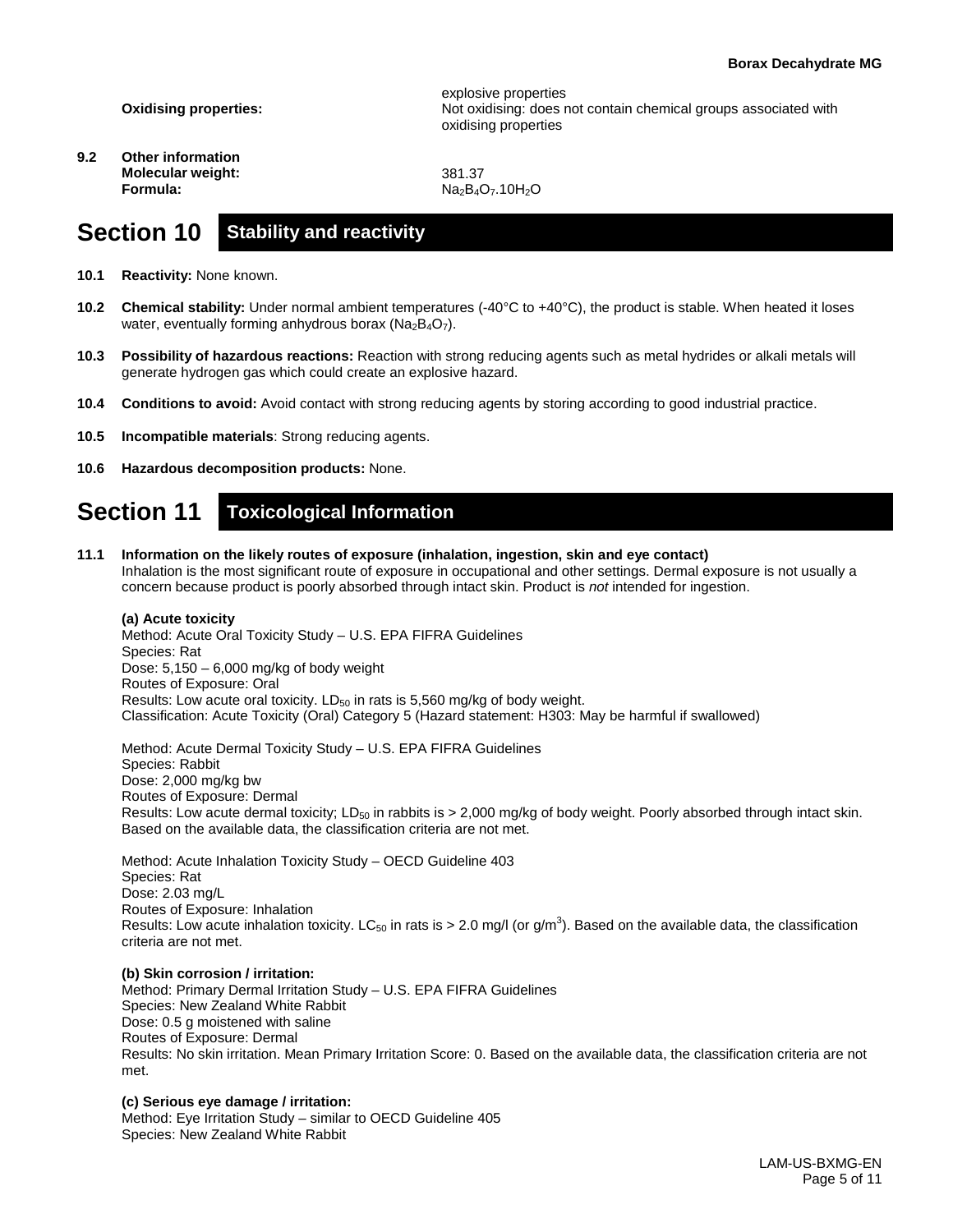**Oxidising properties:**

**9.2 Other information Molecular weight: Formula:**

explosive properties Not oxidising: does not contain chemical groups associated with oxidising properties

381.37  $Na<sub>2</sub>B<sub>4</sub>O<sub>7</sub>$ .10H<sub>2</sub>O

### **Section 10 Stability and reactivity**

- **10.1 Reactivity:** None known.
- **10.2 Chemical stability:** Under normal ambient temperatures (-40°C to +40°C), the product is stable. When heated it loses water, eventually forming anhydrous borax ( $Na<sub>2</sub>B<sub>4</sub>O<sub>7</sub>$ ).
- **10.3 Possibility of hazardous reactions:** Reaction with strong reducing agents such as metal hydrides or alkali metals will generate hydrogen gas which could create an explosive hazard.
- **10.4 Conditions to avoid:** Avoid contact with strong reducing agents by storing according to good industrial practice.
- **10.5 Incompatible materials**: Strong reducing agents.
- **10.6 Hazardous decomposition products:** None.

### **Section 11 Toxicological Information**

**11.1 Information on the likely routes of exposure (inhalation, ingestion, skin and eye contact)** Inhalation is the most significant route of exposure in occupational and other settings. Dermal exposure is not usually a concern because product is poorly absorbed through intact skin. Product is *not* intended for ingestion.

#### **(a) Acute toxicity**

Method: Acute Oral Toxicity Study – U.S. EPA FIFRA Guidelines Species: Rat Dose: 5,150 – 6,000 mg/kg of body weight Routes of Exposure: Oral Results: Low acute oral toxicity.  $LD_{50}$  in rats is 5,560 mg/kg of body weight. Classification: Acute Toxicity (Oral) Category 5 (Hazard statement: H303: May be harmful if swallowed)

Method: Acute Dermal Toxicity Study – U.S. EPA FIFRA Guidelines Species: Rabbit Dose: 2,000 mg/kg bw Routes of Exposure: Dermal Results: Low acute dermal toxicity; LD<sub>50</sub> in rabbits is  $> 2,000$  mg/kg of body weight. Poorly absorbed through intact skin. Based on the available data, the classification criteria are not met.

Method: Acute Inhalation Toxicity Study – OECD Guideline 403 Species: Rat Dose: 2.03 mg/L Routes of Exposure: Inhalation Results: Low acute inhalation toxicity. LC<sub>50</sub> in rats is > 2.0 mg/l (or g/m<sup>3</sup>). Based on the available data, the classification criteria are not met.

**(b) Skin corrosion / irritation:** Method: Primary Dermal Irritation Study – U.S. EPA FIFRA Guidelines Species: New Zealand White Rabbit Dose: 0.5 g moistened with saline Routes of Exposure: Dermal Results: No skin irritation. Mean Primary Irritation Score: 0. Based on the available data, the classification criteria are not met.

#### **(c) Serious eye damage / irritation:**

Method: Eye Irritation Study – similar to OECD Guideline 405 Species: New Zealand White Rabbit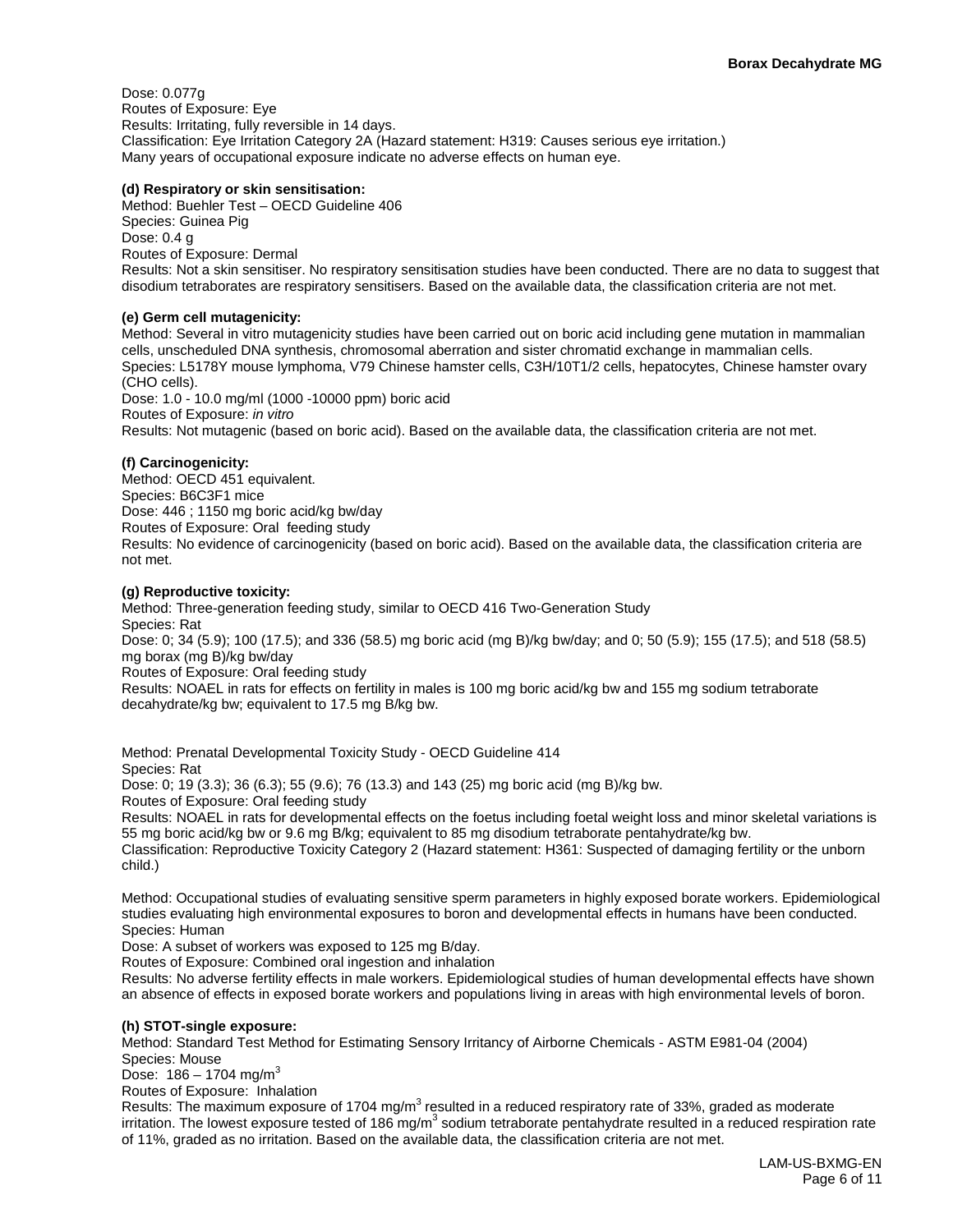Dose: 0.077g Routes of Exposure: Eye Results: Irritating, fully reversible in 14 days. Classification: Eye Irritation Category 2A (Hazard statement: H319: Causes serious eye irritation.) Many years of occupational exposure indicate no adverse effects on human eye.

#### **(d) Respiratory or skin sensitisation:**

Method: Buehler Test – OECD Guideline 406 Species: Guinea Pig Dose: 0.4 g Routes of Exposure: Dermal Results: Not a skin sensitiser. No respiratory sensitisation studies have been conducted. There are no data to suggest that disodium tetraborates are respiratory sensitisers. Based on the available data, the classification criteria are not met.

#### **(e) Germ cell mutagenicity:**

Method: Several in vitro mutagenicity studies have been carried out on boric acid including gene mutation in mammalian cells, unscheduled DNA synthesis, chromosomal aberration and sister chromatid exchange in mammalian cells. Species: L5178Y mouse lymphoma, V79 Chinese hamster cells, C3H/10T1/2 cells, hepatocytes, Chinese hamster ovary (CHO cells). Dose: 1.0 - 10.0 mg/ml (1000 -10000 ppm) boric acid Routes of Exposure: *in vitro*

Results: Not mutagenic (based on boric acid). Based on the available data, the classification criteria are not met.

#### **(f) Carcinogenicity:**

Method: OECD 451 equivalent. Species: B6C3F1 mice Dose: 446 ; 1150 mg boric acid/kg bw/day Routes of Exposure: Oral feeding study Results: No evidence of carcinogenicity (based on boric acid). Based on the available data, the classification criteria are not met.

#### **(g) Reproductive toxicity:**

Method: Three-generation feeding study, similar to OECD 416 Two-Generation Study Species: Rat Dose: 0; 34 (5.9); 100 (17.5); and 336 (58.5) mg boric acid (mg B)/kg bw/day; and 0; 50 (5.9); 155 (17.5); and 518 (58.5) mg borax (mg B)/kg bw/day Routes of Exposure: Oral feeding study

Results: NOAEL in rats for effects on fertility in males is 100 mg boric acid/kg bw and 155 mg sodium tetraborate decahydrate/kg bw; equivalent to 17.5 mg B/kg bw.

Method: Prenatal Developmental Toxicity Study - OECD Guideline 414 Species: Rat

Dose: 0; 19 (3.3); 36 (6.3); 55 (9.6); 76 (13.3) and 143 (25) mg boric acid (mg B)/kg bw.

Routes of Exposure: Oral feeding study

Results: NOAEL in rats for developmental effects on the foetus including foetal weight loss and minor skeletal variations is 55 mg boric acid/kg bw or 9.6 mg B/kg; equivalent to 85 mg disodium tetraborate pentahydrate/kg bw.

Classification: Reproductive Toxicity Category 2 (Hazard statement: H361: Suspected of damaging fertility or the unborn child.)

Method: Occupational studies of evaluating sensitive sperm parameters in highly exposed borate workers. Epidemiological studies evaluating high environmental exposures to boron and developmental effects in humans have been conducted. Species: Human

Dose: A subset of workers was exposed to 125 mg B/day.

Routes of Exposure: Combined oral ingestion and inhalation

Results: No adverse fertility effects in male workers. Epidemiological studies of human developmental effects have shown an absence of effects in exposed borate workers and populations living in areas with high environmental levels of boron.

#### **(h) STOT-single exposure:**

Method: Standard Test Method for Estimating Sensory Irritancy of Airborne Chemicals - ASTM E981-04 (2004) Species: Mouse

Dose:  $186 - 1704$  mg/m<sup>3</sup>

Routes of Exposure: Inhalation

Results: The maximum exposure of 1704 mg/m<sup>3</sup> resulted in a reduced respiratory rate of 33%, graded as moderate irritation. The lowest exposure tested of 186 mg/m<sup>3</sup> sodium tetraborate pentahydrate resulted in a reduced respiration rate of 11%, graded as no irritation. Based on the available data, the classification criteria are not met.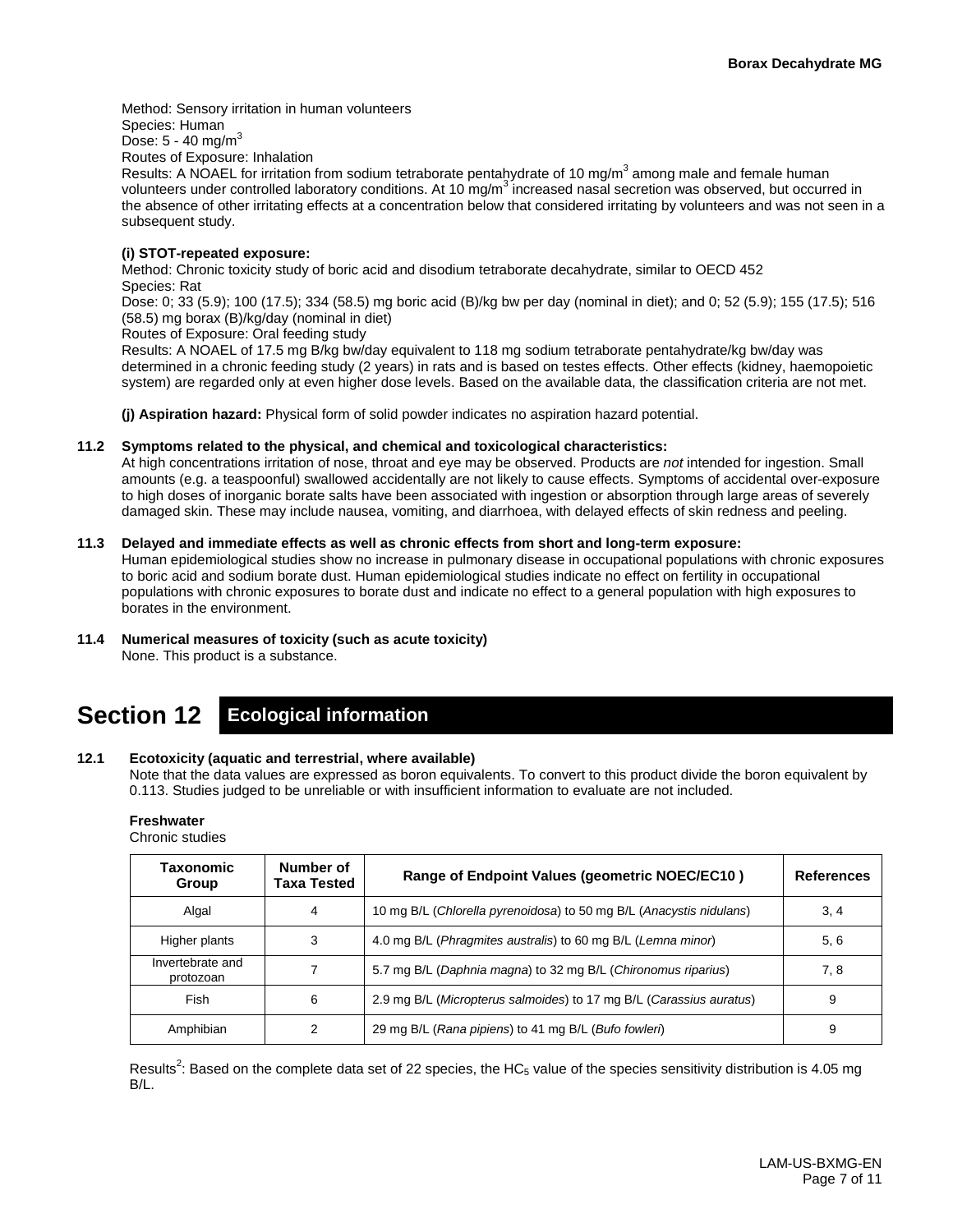Method: Sensory irritation in human volunteers Species: Human Dose:  $5 - 40$  mg/m<sup>3</sup> Routes of Exposure: Inhalation Results: A NOAEL for irritation from sodium tetraborate pentahydrate of 10 mg/m<sup>3</sup> among male and female human volunteers under controlled laboratory conditions. At 10  $mg/m<sup>3</sup>$  increased nasal secretion was observed, but occurred in the absence of other irritating effects at a concentration below that considered irritating by volunteers and was not seen in a subsequent study.

#### **(i) STOT-repeated exposure:**

Method: Chronic toxicity study of boric acid and disodium tetraborate decahydrate, similar to OECD 452 Species: Rat

Dose: 0; 33 (5.9); 100 (17.5); 334 (58.5) mg boric acid (B)/kg bw per day (nominal in diet); and 0; 52 (5.9); 155 (17.5); 516 (58.5) mg borax (B)/kg/day (nominal in diet)

Routes of Exposure: Oral feeding study

Results: A NOAEL of 17.5 mg B/kg bw/day equivalent to 118 mg sodium tetraborate pentahydrate/kg bw/day was determined in a chronic feeding study (2 years) in rats and is based on testes effects. Other effects (kidney, haemopoietic system) are regarded only at even higher dose levels. Based on the available data, the classification criteria are not met.

**(j) Aspiration hazard:** Physical form of solid powder indicates no aspiration hazard potential.

#### **11.2 Symptoms related to the physical, and chemical and toxicological characteristics:**

At high concentrations irritation of nose, throat and eye may be observed. Products are *not* intended for ingestion. Small amounts (e.g. a teaspoonful) swallowed accidentally are not likely to cause effects. Symptoms of accidental over-exposure to high doses of inorganic borate salts have been associated with ingestion or absorption through large areas of severely damaged skin. These may include nausea, vomiting, and diarrhoea, with delayed effects of skin redness and peeling.

#### **11.3 Delayed and immediate effects as well as chronic effects from short and long-term exposure:**

Human epidemiological studies show no increase in pulmonary disease in occupational populations with chronic exposures to boric acid and sodium borate dust. Human epidemiological studies indicate no effect on fertility in occupational populations with chronic exposures to borate dust and indicate no effect to a general population with high exposures to borates in the environment.

#### **11.4 Numerical measures of toxicity (such as acute toxicity)**

None. This product is a substance.

# **Section 12 Ecological information**

#### **12.1 Ecotoxicity (aquatic and terrestrial, where available)**

Note that the data values are expressed as boron equivalents. To convert to this product divide the boron equivalent by 0.113. Studies judged to be unreliable or with insufficient information to evaluate are not included.

### **Freshwater**

Chronic studies

| Taxonomic<br>Group            | Number of<br>Taxa Tested | Range of Endpoint Values (geometric NOEC/EC10)                      | <b>References</b> |
|-------------------------------|--------------------------|---------------------------------------------------------------------|-------------------|
| Algal                         | 4                        | 10 mg B/L (Chlorella pyrenoidosa) to 50 mg B/L (Anacystis nidulans) | 3, 4              |
| Higher plants                 | 3                        | 4.0 mg B/L (Phragmites australis) to 60 mg B/L (Lemna minor)        | 5, 6              |
| Invertebrate and<br>protozoan |                          | 5.7 mg B/L (Daphnia magna) to 32 mg B/L (Chironomus riparius)       | 7, 8              |
| Fish                          | 6                        | 2.9 mg B/L (Micropterus salmoides) to 17 mg B/L (Carassius auratus) | 9                 |
| Amphibian                     | 2                        | 29 mg B/L (Rana pipiens) to 41 mg B/L (Bufo fowleri)                | 9                 |

Results<sup>2</sup>: Based on the complete data set of 22 species, the HC<sub>5</sub> value of the species sensitivity distribution is 4.05 mg B/L.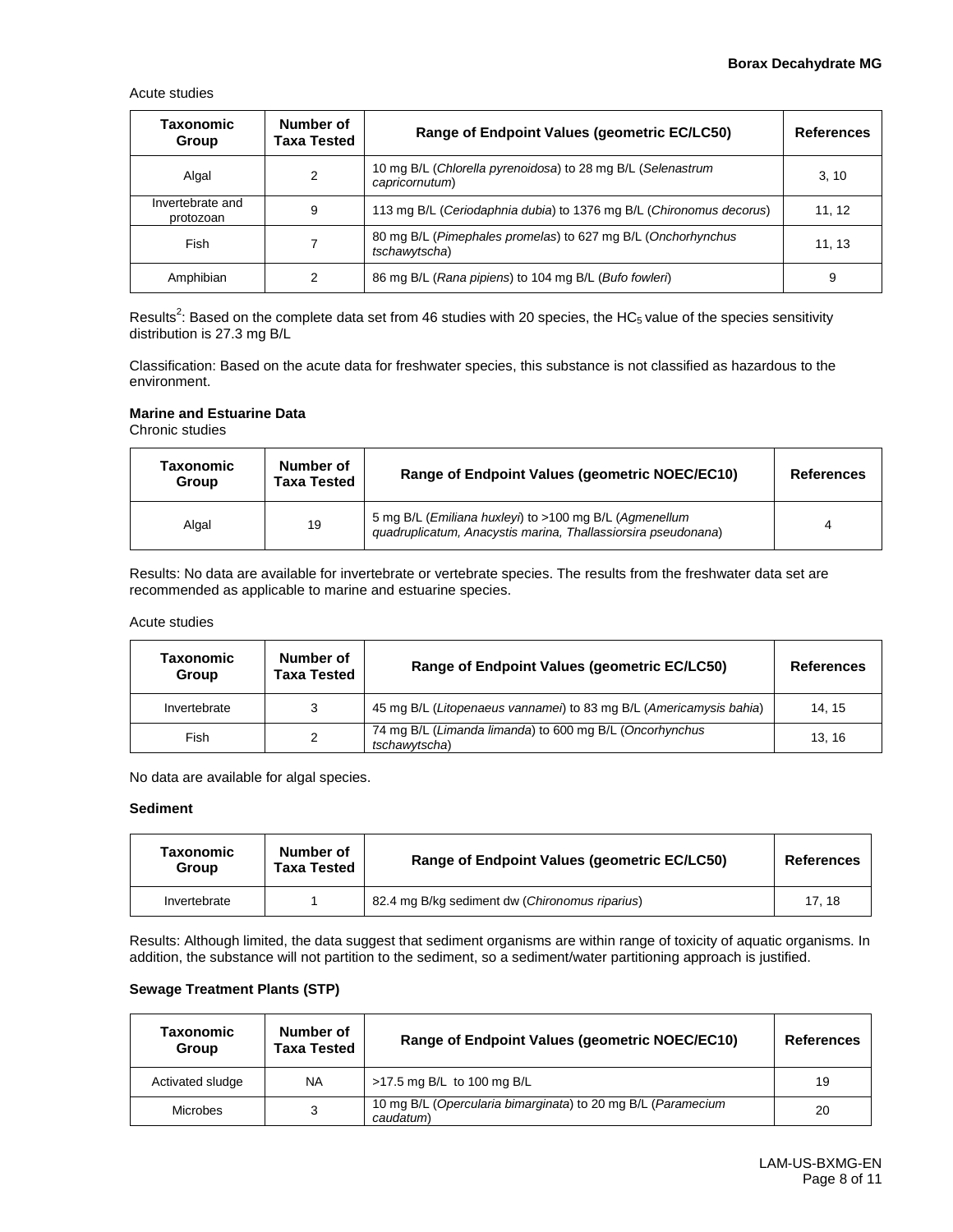Acute studies

| Taxonomic<br>Group            | Number of<br>Taxa Tested | Range of Endpoint Values (geometric EC/LC50)                                  | <b>References</b> |
|-------------------------------|--------------------------|-------------------------------------------------------------------------------|-------------------|
| Algal                         | 2                        | 10 mg B/L (Chlorella pyrenoidosa) to 28 mg B/L (Selenastrum<br>capricornutum) | 3, 10             |
| Invertebrate and<br>protozoan | 9                        | 113 mg B/L (Ceriodaphnia dubia) to 1376 mg B/L (Chironomus decorus)           | 11, 12            |
| Fish                          |                          | 80 mg B/L (Pimephales promelas) to 627 mg B/L (Onchorhynchus<br>tschawytscha) | 11, 13            |
| Amphibian                     | 2                        | 86 mg B/L (Rana pipiens) to 104 mg B/L (Bufo fowleri)                         | 9                 |

Results<sup>2</sup>: Based on the complete data set from 46 studies with 20 species, the HC<sub>5</sub> value of the species sensitivity distribution is 27.3 mg B/L

Classification: Based on the acute data for freshwater species, this substance is not classified as hazardous to the environment.

#### **Marine and Estuarine Data**

Chronic studies

| Taxonomic<br>Group | Number of<br><b>Taxa Tested</b> | Range of Endpoint Values (geometric NOEC/EC10)                                                                          | <b>References</b> |
|--------------------|---------------------------------|-------------------------------------------------------------------------------------------------------------------------|-------------------|
| Algal              | 19                              | 5 mg B/L (Emiliana huxleyi) to >100 mg B/L (Agmenellum<br>guadruplicatum, Anacystis marina, Thallassiorsira pseudonana) |                   |

Results: No data are available for invertebrate or vertebrate species. The results from the freshwater data set are recommended as applicable to marine and estuarine species.

#### Acute studies

| Taxonomic<br>Group | Number of<br>Taxa Tested | Range of Endpoint Values (geometric EC/LC50)                             | <b>References</b> |
|--------------------|--------------------------|--------------------------------------------------------------------------|-------------------|
| Invertebrate       | 3                        | 45 mg B/L (Litopenaeus vannamei) to 83 mg B/L (Americamysis bahia)       | 14.15             |
| Fish               | 2                        | 74 mg B/L (Limanda limanda) to 600 mg B/L (Oncorhynchus<br>tschawvtscha) | 13.16             |

No data are available for algal species.

#### **Sediment**

| Taxonomic<br>Group | Number of<br>Taxa Tested | Range of Endpoint Values (geometric EC/LC50)   | <b>References</b> |
|--------------------|--------------------------|------------------------------------------------|-------------------|
| Invertebrate       |                          | 82.4 mg B/kg sediment dw (Chironomus riparius) | 17.18             |

Results: Although limited, the data suggest that sediment organisms are within range of toxicity of aquatic organisms. In addition, the substance will not partition to the sediment, so a sediment/water partitioning approach is justified.

#### **Sewage Treatment Plants (STP)**

| Taxonomic<br>Group | Number of<br><b>Taxa Tested</b> | Range of Endpoint Values (geometric NOEC/EC10)                            | <b>References</b> |
|--------------------|---------------------------------|---------------------------------------------------------------------------|-------------------|
| Activated sludge   | <b>NA</b>                       | >17.5 mg B/L to 100 mg B/L                                                | 19                |
| Microbes           | 3                               | 10 mg B/L (Opercularia bimarginata) to 20 mg B/L (Paramecium<br>caudatum) | 20                |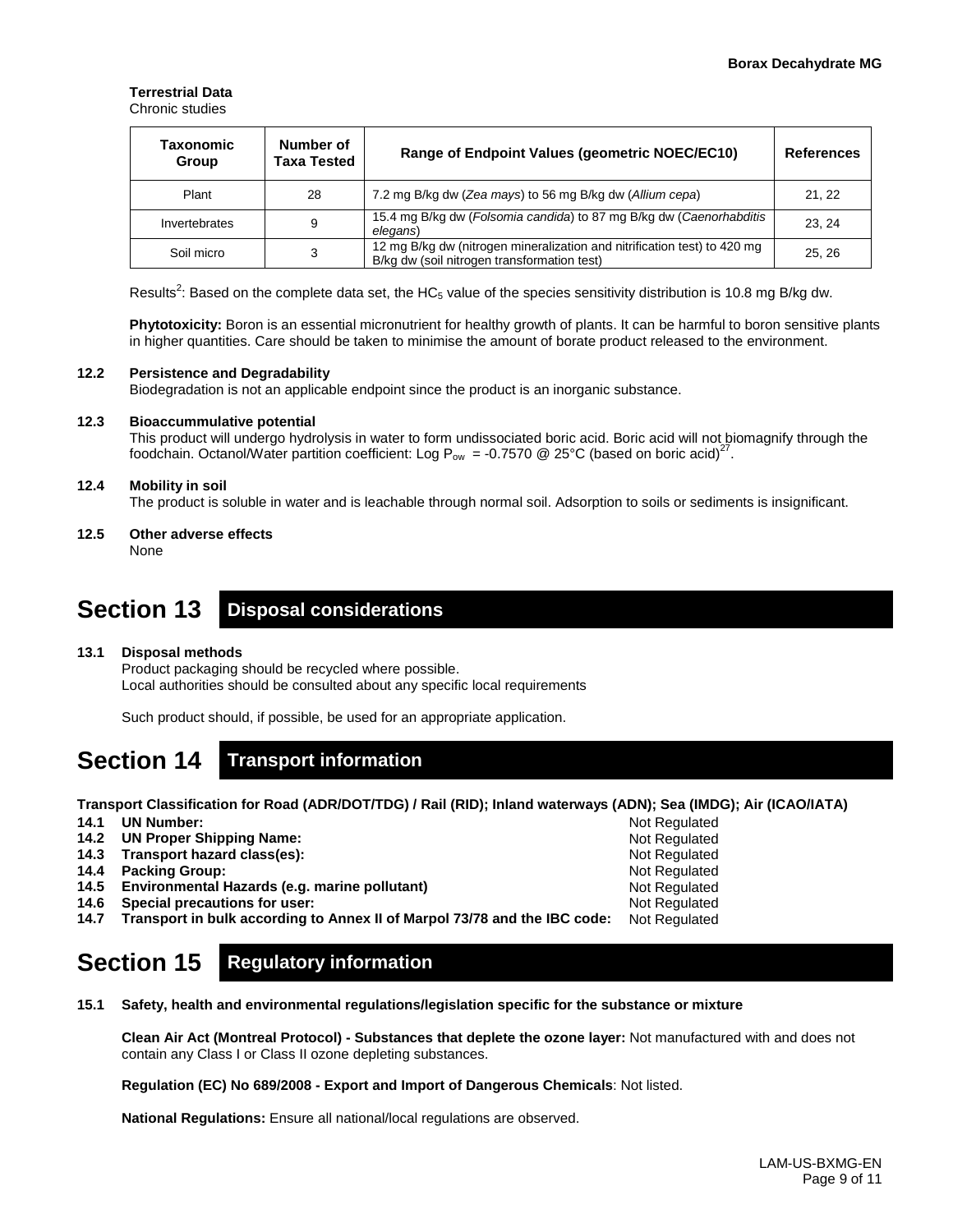#### **Terrestrial Data** Chronic studies

| Taxonomic<br>Group | Number of<br>Taxa Tested | Range of Endpoint Values (geometric NOEC/EC10)                                                                          | <b>References</b> |
|--------------------|--------------------------|-------------------------------------------------------------------------------------------------------------------------|-------------------|
| Plant              | 28                       | 7.2 mg B/kg dw (Zea mays) to 56 mg B/kg dw (Allium cepa)                                                                | 21, 22            |
| Invertebrates      | 9                        | 15.4 mg B/kg dw (Folsomia candida) to 87 mg B/kg dw (Caenorhabditis<br>elegans)                                         | 23.24             |
| Soil micro         | 3                        | 12 mg B/kg dw (nitrogen mineralization and nitrification test) to 420 mg<br>B/kg dw (soil nitrogen transformation test) | 25.26             |

Results<sup>2</sup>: Based on the complete data set, the HC<sub>5</sub> value of the species sensitivity distribution is 10.8 mg B/kg dw.

**Phytotoxicity:** Boron is an essential micronutrient for healthy growth of plants. It can be harmful to boron sensitive plants in higher quantities. Care should be taken to minimise the amount of borate product released to the environment.

#### **12.2 Persistence and Degradability**

Biodegradation is not an applicable endpoint since the product is an inorganic substance.

#### **12.3 Bioaccummulative potential**

This product will undergo hydrolysis in water to form undissociated boric acid. Boric acid will not biomagnify through the foodchain. Octanol/Water partition coefficient: Log P<sub>ow</sub> = -0.7570 @ 25°C (based on boric acid)<sup>27</sup>.

#### **12.4 Mobility in soil**

The product is soluble in water and is leachable through normal soil. Adsorption to soils or sediments is insignificant.

**12.5 Other adverse effects** None

### **Section 13 Disposal considerations**

#### **13.1 Disposal methods**

Product packaging should be recycled where possible. Local authorities should be consulted about any specific local requirements

Such product should, if possible, be used for an appropriate application.

## **Section 14 Transport information**

**Transport Classification for Road (ADR/DOT/TDG) / Rail (RID); Inland waterways (ADN); Sea (IMDG); Air (ICAO/IATA)**

Not Regulated Not Regulated Not Regulated Not Regulated Not Regulated Not Regulated

- **14.1 UN Number:**
- **14.2 UN Proper Shipping Name:**
- **14.3 Transport hazard class(es):**
- **14.4 Packing Group:**
- **14.5 Environmental Hazards (e.g. marine pollutant)**
- **14.6 Special precautions for user:**
- **14.7 Transport in bulk according to Annex II of Marpol 73/78 and the IBC code:** Not Regulated

# **Section 15 Regulatory information**

**15.1 Safety, health and environmental regulations/legislation specific for the substance or mixture**

**Clean Air Act (Montreal Protocol) - Substances that deplete the ozone layer:** Not manufactured with and does not contain any Class I or Class II ozone depleting substances.

**Regulation (EC) No 689/2008 - Export and Import of Dangerous Chemicals**: Not listed.

**National Regulations:** Ensure all national/local regulations are observed.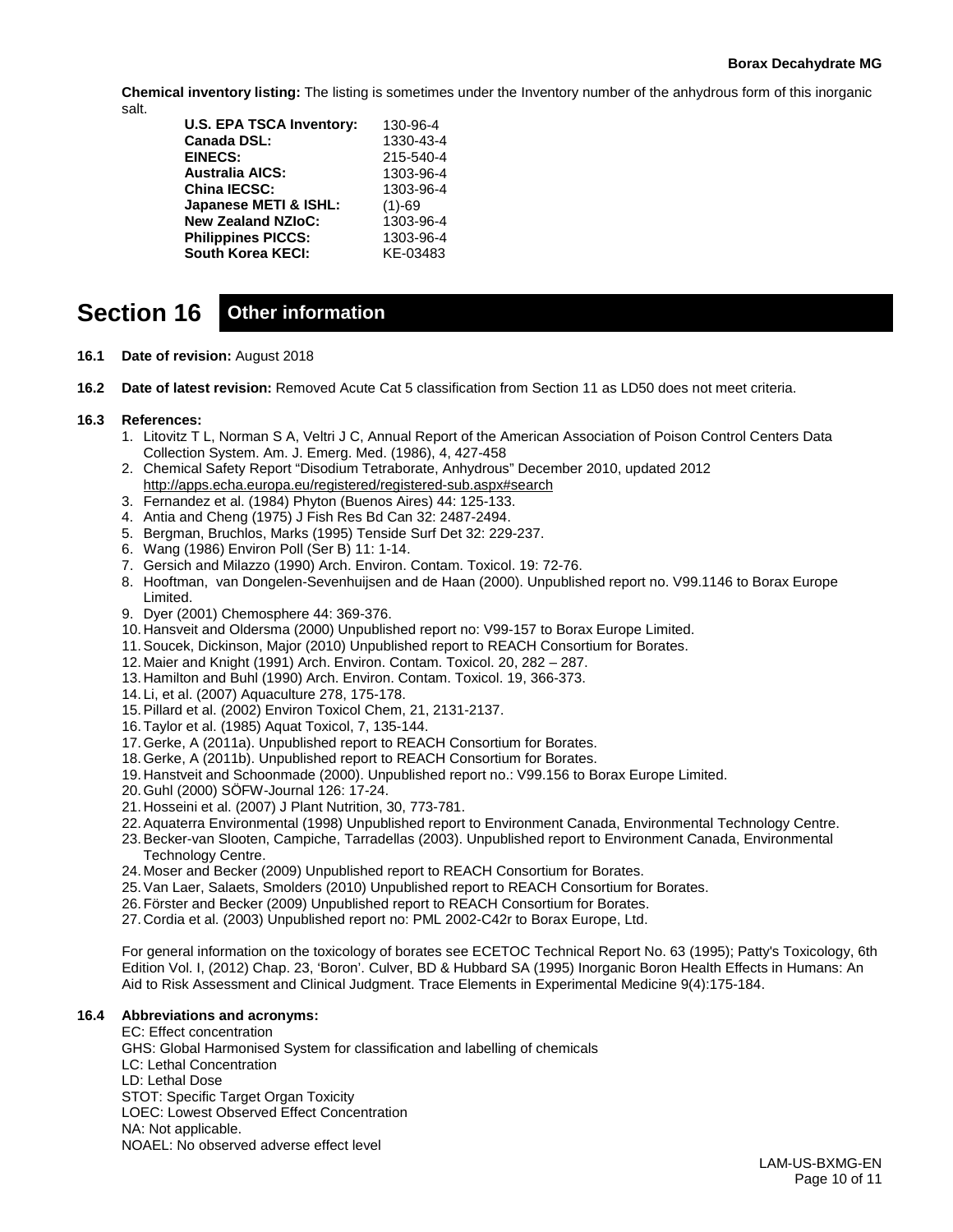#### **Borax Decahydrate MG**

**Chemical inventory listing:** The listing is sometimes under the Inventory number of the anhydrous form of this inorganic salt.

| <b>U.S. EPA TSCA Inventory:</b> | 130-96-4  |
|---------------------------------|-----------|
| Canada DSL:                     | 1330-43-4 |
| <b>EINECS:</b>                  | 215-540-4 |
| Australia AICS:                 | 1303-96-4 |
| China IECSC:                    | 1303-96-4 |
| Japanese METI & ISHL:           | $(1)-69$  |
| <b>New Zealand NZIoC:</b>       | 1303-96-4 |
| <b>Philippines PICCS:</b>       | 1303-96-4 |
| South Korea KECI:               | KE-03483  |
|                                 |           |

# **Section 16 Other information**

- **16.1 Date of revision:** August 2018
- **16.2 Date of latest revision:** Removed Acute Cat 5 classification from Section 11 as LD50 does not meet criteria.

#### **16.3 References:**

- 1. Litovitz T L, Norman S A, Veltri J C, Annual Report of the American Association of Poison Control Centers Data Collection System. Am. J. Emerg. Med. (1986), 4, 427-458
- 2. Chemical Safety Report "Disodium Tetraborate, Anhydrous" December 2010, updated 2012 <http://apps.echa.europa.eu/registered/registered-sub.aspx#search>
- 3. Fernandez et al. (1984) Phyton (Buenos Aires) 44: 125-133.
- 4. Antia and Cheng (1975) J Fish Res Bd Can 32: 2487-2494.
- 5. Bergman, Bruchlos, Marks (1995) Tenside Surf Det 32: 229-237.
- 6. Wang (1986) Environ Poll (Ser B) 11: 1-14.
- 7. Gersich and Milazzo (1990) Arch. Environ. Contam. Toxicol. 19: 72-76.
- 8. Hooftman, van Dongelen-Sevenhuijsen and de Haan (2000). Unpublished report no. V99.1146 to Borax Europe Limited.
- 9. Dyer (2001) Chemosphere 44: 369-376.
- 10. Hansveit and Oldersma (2000) Unpublished report no: V99-157 to Borax Europe Limited.
- 11.Soucek, Dickinson, Major (2010) Unpublished report to REACH Consortium for Borates.
- 12. Maier and Knight (1991) Arch. Environ. Contam. Toxicol. 20, 282 287.
- 13. Hamilton and Buhl (1990) Arch. Environ. Contam. Toxicol. 19, 366-373.
- 14. Li, et al. (2007) Aquaculture 278, 175-178.
- 15.Pillard et al. (2002) Environ Toxicol Chem, 21, 2131-2137.
- 16.Taylor et al. (1985) Aquat Toxicol, 7, 135-144.
- 17.Gerke, A (2011a). Unpublished report to REACH Consortium for Borates.
- 18.Gerke, A (2011b). Unpublished report to REACH Consortium for Borates.
- 19. Hanstveit and Schoonmade (2000). Unpublished report no.: V99.156 to Borax Europe Limited.
- 20.Guhl (2000) SÖFW-Journal 126: 17-24.
- 21. Hosseini et al. (2007) J Plant Nutrition, 30, 773-781.
- 22.Aquaterra Environmental (1998) Unpublished report to Environment Canada, Environmental Technology Centre.
- 23.Becker-van Slooten, Campiche, Tarradellas (2003). Unpublished report to Environment Canada, Environmental Technology Centre.
- 24. Moser and Becker (2009) Unpublished report to REACH Consortium for Borates.
- 25.Van Laer, Salaets, Smolders (2010) Unpublished report to REACH Consortium for Borates.
- 26.Förster and Becker (2009) Unpublished report to REACH Consortium for Borates.
- 27. Cordia et al. (2003) Unpublished report no: PML 2002-C42r to Borax Europe, Ltd.

For general information on the toxicology of borates see ECETOC Technical Report No. 63 (1995); Patty's Toxicology, 6th Edition Vol. I, (2012) Chap. 23, 'Boron'. Culver, BD & Hubbard SA (1995) Inorganic Boron Health Effects in Humans: An Aid to Risk Assessment and Clinical Judgment. Trace Elements in Experimental Medicine 9(4):175-184.

#### **16.4 Abbreviations and acronyms:**

EC: Effect concentration GHS: Global Harmonised System for classification and labelling of chemicals LC: Lethal Concentration LD: Lethal Dose STOT: Specific Target Organ Toxicity LOEC: Lowest Observed Effect Concentration NA: Not applicable. NOAEL: No observed adverse effect level